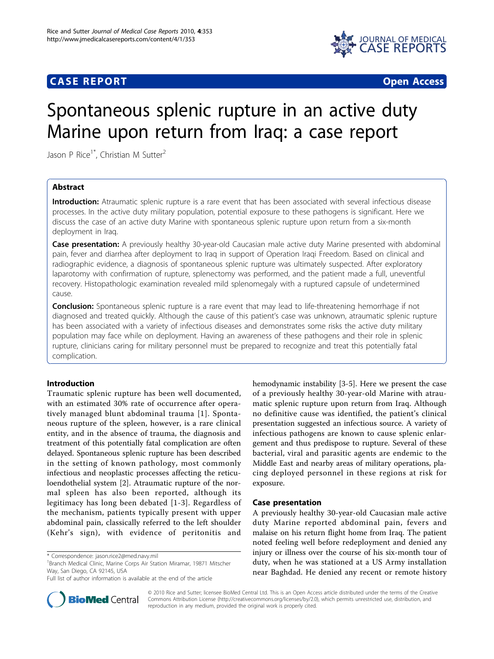## **CASE REPORT CASE REPORT CASE REPORT**



# Spontaneous splenic rupture in an active duty Marine upon return from Iraq: a case report

Jason P Rice<sup>1\*</sup>, Christian M Sutter<sup>2</sup>

## Abstract

Introduction: Atraumatic splenic rupture is a rare event that has been associated with several infectious disease processes. In the active duty military population, potential exposure to these pathogens is significant. Here we discuss the case of an active duty Marine with spontaneous splenic rupture upon return from a six-month deployment in Iraq.

Case presentation: A previously healthy 30-year-old Caucasian male active duty Marine presented with abdominal pain, fever and diarrhea after deployment to Iraq in support of Operation Iraqi Freedom. Based on clinical and radiographic evidence, a diagnosis of spontaneous splenic rupture was ultimately suspected. After exploratory laparotomy with confirmation of rupture, splenectomy was performed, and the patient made a full, uneventful recovery. Histopathologic examination revealed mild splenomegaly with a ruptured capsule of undetermined cause.

**Conclusion:** Spontaneous splenic rupture is a rare event that may lead to life-threatening hemorrhage if not diagnosed and treated quickly. Although the cause of this patient's case was unknown, atraumatic splenic rupture has been associated with a variety of infectious diseases and demonstrates some risks the active duty military population may face while on deployment. Having an awareness of these pathogens and their role in splenic rupture, clinicians caring for military personnel must be prepared to recognize and treat this potentially fatal complication.

## Introduction

Traumatic splenic rupture has been well documented, with an estimated 30% rate of occurrence after operatively managed blunt abdominal trauma [[1\]](#page-4-0). Spontaneous rupture of the spleen, however, is a rare clinical entity, and in the absence of trauma, the diagnosis and treatment of this potentially fatal complication are often delayed. Spontaneous splenic rupture has been described in the setting of known pathology, most commonly infectious and neoplastic processes affecting the reticuloendothelial system [\[2](#page-4-0)]. Atraumatic rupture of the normal spleen has also been reported, although its legitimacy has long been debated [\[1-3\]](#page-4-0). Regardless of the mechanism, patients typically present with upper abdominal pain, classically referred to the left shoulder (Kehr's sign), with evidence of peritonitis and



## Case presentation

A previously healthy 30-year-old Caucasian male active duty Marine reported abdominal pain, fevers and malaise on his return flight home from Iraq. The patient noted feeling well before redeployment and denied any injury or illness over the course of his six-month tour of duty, when he was stationed at a US Army installation near Baghdad. He denied any recent or remote history



© 2010 Rice and Sutter; licensee BioMed Central Ltd. This is an Open Access article distributed under the terms of the Creative Commons Attribution License [\(http://creativecommons.org/licenses/by/2.0](http://creativecommons.org/licenses/by/2.0)), which permits unrestricted use, distribution, and reproduction in any medium, provided the original work is properly cited.

<sup>\*</sup> Correspondence: [jason.rice2@med.navy.mil](mailto:jason.rice2@med.navy.mil)

<sup>&</sup>lt;sup>1</sup> Branch Medical Clinic, Marine Corps Air Station Miramar, 19871 Mitscher Way, San Diego, CA 92145, USA

Full list of author information is available at the end of the article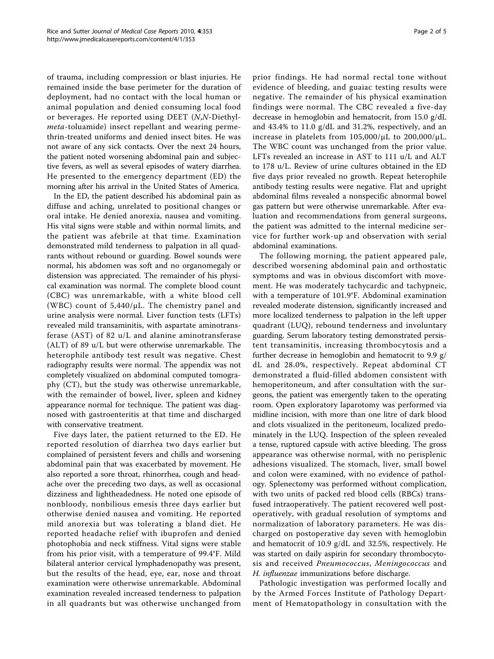of trauma, including compression or blast injuries. He remained inside the base perimeter for the duration of deployment, had no contact with the local human or animal population and denied consuming local food or beverages. He reported using DEET (N,N-Diethylmeta-toluamide) insect repellant and wearing permethrin-treated uniforms and denied insect bites. He was not aware of any sick contacts. Over the next 24 hours, the patient noted worsening abdominal pain and subjective fevers, as well as several episodes of watery diarrhea. He presented to the emergency department (ED) the morning after his arrival in the United States of America.

In the ED, the patient described his abdominal pain as diffuse and aching, unrelated to positional changes or oral intake. He denied anorexia, nausea and vomiting. His vital signs were stable and within normal limits, and the patient was afebrile at that time. Examination demonstrated mild tenderness to palpation in all quadrants without rebound or guarding. Bowel sounds were normal, his abdomen was soft and no organomegaly or distension was appreciated. The remainder of his physical examination was normal. The complete blood count (CBC) was unremarkable, with a white blood cell (WBC) count of 5,440/μL. The chemistry panel and urine analysis were normal. Liver function tests (LFTs) revealed mild transaminitis, with aspartate aminotransferase (AST) of 82 u/L and alanine aminotransferase (ALT) of 89 u/L but were otherwise unremarkable. The heterophile antibody test result was negative. Chest radiography results were normal. The appendix was not completely visualized on abdominal computed tomography (CT), but the study was otherwise unremarkable, with the remainder of bowel, liver, spleen and kidney appearance normal for technique. The patient was diagnosed with gastroenteritis at that time and discharged with conservative treatment.

Five days later, the patient returned to the ED. He reported resolution of diarrhea two days earlier but complained of persistent fevers and chills and worsening abdominal pain that was exacerbated by movement. He also reported a sore throat, rhinorrhea, cough and headache over the preceding two days, as well as occasional dizziness and lightheadedness. He noted one episode of nonbloody, nonbilious emesis three days earlier but otherwise denied nausea and vomiting. He reported mild anorexia but was tolerating a bland diet. He reported headache relief with ibuprofen and denied photophobia and neck stiffness. Vital signs were stable from his prior visit, with a temperature of 99.4°F. Mild bilateral anterior cervical lymphadenopathy was present, but the results of the head, eye, ear, nose and throat examination were otherwise unremarkable. Abdominal examination revealed increased tenderness to palpation in all quadrants but was otherwise unchanged from prior findings. He had normal rectal tone without evidence of bleeding, and guaiac testing results were negative. The remainder of his physical examination findings were normal. The CBC revealed a five-day decrease in hemoglobin and hematocrit, from 15.0 g/dL and 43.4% to 11.0 g/dL and 31.2%, respectively, and an increase in platelets from  $105,000/\mu L$  to  $200,000/\mu L$ . The WBC count was unchanged from the prior value. LFTs revealed an increase in AST to 111 u/L and ALT to 178 u/L. Review of urine cultures obtained in the ED five days prior revealed no growth. Repeat heterophile antibody testing results were negative. Flat and upright abdominal films revealed a nonspecific abnormal bowel gas pattern but were otherwise unremarkable. After evaluation and recommendations from general surgeons, the patient was admitted to the internal medicine service for further work-up and observation with serial abdominal examinations.

The following morning, the patient appeared pale, described worsening abdominal pain and orthostatic symptoms and was in obvious discomfort with movement. He was moderately tachycardic and tachypneic, with a temperature of 101.9°F. Abdominal examination revealed moderate distension, significantly increased and more localized tenderness to palpation in the left upper quadrant (LUQ), rebound tenderness and involuntary guarding. Serum laboratory testing demonstrated persistent transaminitis, increasing thrombocytosis and a further decrease in hemoglobin and hematocrit to 9.9 g/ dL and 28.0%, respectively. Repeat abdominal CT demonstrated a fluid-filled abdomen consistent with hemoperitoneum, and after consultation with the surgeons, the patient was emergently taken to the operating room. Open exploratory laparotomy was performed via midline incision, with more than one litre of dark blood and clots visualized in the peritoneum, localized predominately in the LUQ. Inspection of the spleen revealed a tense, ruptured capsule with active bleeding. The gross appearance was otherwise normal, with no perisplenic adhesions visualized. The stomach, liver, small bowel and colon were examined, with no evidence of pathology. Splenectomy was performed without complication, with two units of packed red blood cells (RBCs) transfused intraoperatively. The patient recovered well postoperatively, with gradual resolution of symptoms and normalization of laboratory parameters. He was discharged on postoperative day seven with hemoglobin and hematocrit of 10.9 g/dL and 32.5%, respectively. He was started on daily aspirin for secondary thrombocytosis and received Pneumococcus, Meningococcus and H. influenzae immunizations before discharge.

Pathologic investigation was performed locally and by the Armed Forces Institute of Pathology Department of Hematopathology in consultation with the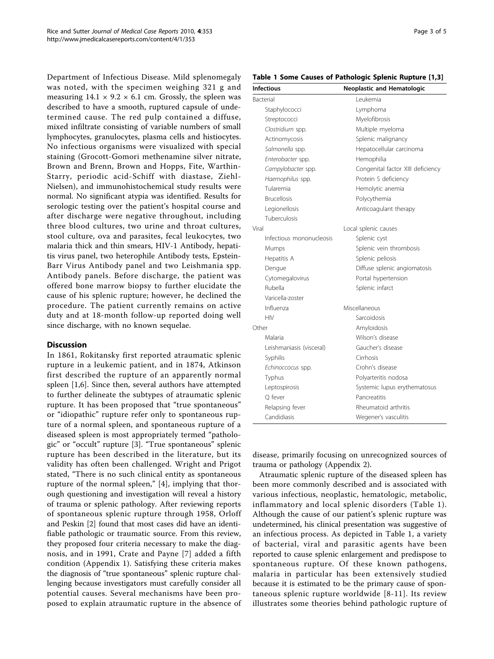Department of Infectious Disease. Mild splenomegaly was noted, with the specimen weighing 321 g and measuring  $14.1 \times 9.2 \times 6.1$  cm. Grossly, the spleen was described to have a smooth, ruptured capsule of undetermined cause. The red pulp contained a diffuse, mixed infiltrate consisting of variable numbers of small lymphocytes, granulocytes, plasma cells and histiocytes. No infectious organisms were visualized with special staining (Grocott-Gomori methenamine silver nitrate, Brown and Brenn, Brown and Hopps, Fite, Warthin-Starry, periodic acid-Schiff with diastase, Ziehl-Nielsen), and immunohistochemical study results were normal. No significant atypia was identified. Results for serologic testing over the patient's hospital course and after discharge were negative throughout, including three blood cultures, two urine and throat cultures, stool culture, ova and parasites, fecal leukocytes, two malaria thick and thin smears, HIV-1 Antibody, hepatitis virus panel, two heterophile Antibody tests, Epstein-Barr Virus Antibody panel and two Leishmania spp. Antibody panels. Before discharge, the patient was offered bone marrow biopsy to further elucidate the cause of his splenic rupture; however, he declined the procedure. The patient currently remains on active duty and at 18-month follow-up reported doing well since discharge, with no known sequelae.

## **Discussion**

In 1861, Rokitansky first reported atraumatic splenic rupture in a leukemic patient, and in 1874, Atkinson first described the rupture of an apparently normal spleen [[1,6\]](#page-4-0). Since then, several authors have attempted to further delineate the subtypes of atraumatic splenic rupture. It has been proposed that "true spontaneous" or "idiopathic" rupture refer only to spontaneous rupture of a normal spleen, and spontaneous rupture of a diseased spleen is most appropriately termed "pathologic" or "occult" rupture [[3\]](#page-4-0). "True spontaneous" splenic rupture has been described in the literature, but its validity has often been challenged. Wright and Prigot stated, "There is no such clinical entity as spontaneous rupture of the normal spleen," [\[4](#page-4-0)], implying that thorough questioning and investigation will reveal a history of trauma or splenic pathology. After reviewing reports of spontaneous splenic rupture through 1958, Orloff and Peskin [[2\]](#page-4-0) found that most cases did have an identifiable pathologic or traumatic source. From this review, they proposed four criteria necessary to make the diagnosis, and in 1991, Crate and Payne [[7\]](#page-4-0) added a fifth condition (Appendix 1). Satisfying these criteria makes the diagnosis of "true spontaneous" splenic rupture challenging because investigators must carefully consider all potential causes. Several mechanisms have been proposed to explain atraumatic rupture in the absence of

| Table 1 Some Causes of Pathologic Splenic Rupture [1,3] |  |  |
|---------------------------------------------------------|--|--|
|---------------------------------------------------------|--|--|

| Infectious                    | Neoplastic and Hematologic        |  |  |
|-------------------------------|-----------------------------------|--|--|
| <b>Bacterial</b>              | Leukemia                          |  |  |
| Staphylococci                 | Lymphoma                          |  |  |
| Streptococci                  | Myelofibrosis                     |  |  |
| Clostridium spp.              | Multiple myeloma                  |  |  |
| Actinomycosis                 | Splenic malignancy                |  |  |
| Salmonella spp.               | Hepatocellular carcinoma          |  |  |
| Enterobacter spp.             | Hemophilia                        |  |  |
| Campylobacter spp.            | Congenital factor XIII deficiency |  |  |
| Haemophilus spp.              | Protein S deficiency              |  |  |
| Tularemia                     | Hemolytic anemia                  |  |  |
| <b>Brucellosis</b>            | Polycythemia                      |  |  |
| Legionellosis                 | Anticoagulant therapy             |  |  |
| Tuberculosis                  |                                   |  |  |
| Viral<br>Local splenic causes |                                   |  |  |
| Infectious mononucleosis      | Splenic cyst                      |  |  |
| Mumps                         | Splenic vein thrombosis           |  |  |
| Hepatitis A                   | Splenic peliosis                  |  |  |
| Dengue                        | Diffuse splenic angiomatosis      |  |  |
| Cytomegalovirus               | Portal hypertension               |  |  |
| Rubella                       | Splenic infarct                   |  |  |
| Varicella-zoster              |                                   |  |  |
| Influenza                     | Miscellaneous                     |  |  |
| <b>HIV</b>                    | Sarcoidosis                       |  |  |
| Other                         | Amyloidosis                       |  |  |
| Malaria                       | Wilson's disease                  |  |  |
| Leishmaniasis (visceral)      | Gaucher's disease                 |  |  |
| Syphilis                      | Cirrhosis                         |  |  |
| Echinoccocus spp.             | Crohn's disease                   |  |  |
| Typhus                        | Polyarteritis nodosa              |  |  |
| Leptospirosis                 | Systemic lupus erythematosus      |  |  |
| O fever                       | Pancreatitis                      |  |  |
| Relapsing fever               | Rheumatoid arthritis              |  |  |
| Candidiasis                   | Wegener's vasculitis              |  |  |

disease, primarily focusing on unrecognized sources of trauma or pathology (Appendix 2).

Atraumatic splenic rupture of the diseased spleen has been more commonly described and is associated with various infectious, neoplastic, hematologic, metabolic, inflammatory and local splenic disorders (Table 1). Although the cause of our patient's splenic rupture was undetermined, his clinical presentation was suggestive of an infectious process. As depicted in Table 1, a variety of bacterial, viral and parasitic agents have been reported to cause splenic enlargement and predispose to spontaneous rupture. Of these known pathogens, malaria in particular has been extensively studied because it is estimated to be the primary cause of spontaneous splenic rupture worldwide [[8-11\]](#page-4-0). Its review illustrates some theories behind pathologic rupture of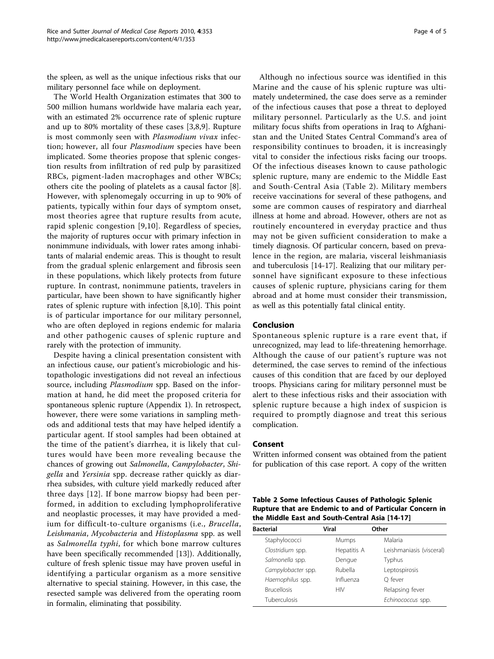the spleen, as well as the unique infectious risks that our military personnel face while on deployment.

The World Health Organization estimates that 300 to 500 million humans worldwide have malaria each year, with an estimated 2% occurrence rate of splenic rupture and up to 80% mortality of these cases [\[3](#page-4-0),[8,9\]](#page-4-0). Rupture is most commonly seen with Plasmodium vivax infection; however, all four Plasmodium species have been implicated. Some theories propose that splenic congestion results from infiltration of red pulp by parasitized RBCs, pigment-laden macrophages and other WBCs; others cite the pooling of platelets as a causal factor [\[8](#page-4-0)]. However, with splenomegaly occurring in up to 90% of patients, typically within four days of symptom onset, most theories agree that rupture results from acute, rapid splenic congestion [[9,10\]](#page-4-0). Regardless of species, the majority of ruptures occur with primary infection in nonimmune individuals, with lower rates among inhabitants of malarial endemic areas. This is thought to result from the gradual splenic enlargement and fibrosis seen in these populations, which likely protects from future rupture. In contrast, nonimmune patients, travelers in particular, have been shown to have significantly higher rates of splenic rupture with infection [\[8](#page-4-0),[10\]](#page-4-0). This point is of particular importance for our military personnel, who are often deployed in regions endemic for malaria and other pathogenic causes of splenic rupture and rarely with the protection of immunity.

Despite having a clinical presentation consistent with an infectious cause, our patient's microbiologic and histopathologic investigations did not reveal an infectious source, including *Plasmodium* spp. Based on the information at hand, he did meet the proposed criteria for spontaneous splenic rupture (Appendix 1). In retrospect, however, there were some variations in sampling methods and additional tests that may have helped identify a particular agent. If stool samples had been obtained at the time of the patient's diarrhea, it is likely that cultures would have been more revealing because the chances of growing out Salmonella, Campylobacter, Shigella and Yersinia spp. decrease rather quickly as diarrhea subsides, with culture yield markedly reduced after three days [[12](#page-4-0)]. If bone marrow biopsy had been performed, in addition to excluding lymphoproliferative and neoplastic processes, it may have provided a medium for difficult-to-culture organisms (i.e., Brucella, Leishmania, Mycobacteria and Histoplasma spp. as well as Salmonella typhi, for which bone marrow cultures have been specifically recommended [[13\]](#page-4-0)). Additionally, culture of fresh splenic tissue may have proven useful in identifying a particular organism as a more sensitive alternative to special staining. However, in this case, the resected sample was delivered from the operating room in formalin, eliminating that possibility.

Although no infectious source was identified in this Marine and the cause of his splenic rupture was ultimately undetermined, the case does serve as a reminder of the infectious causes that pose a threat to deployed military personnel. Particularly as the U.S. and joint military focus shifts from operations in Iraq to Afghanistan and the United States Central Command's area of responsibility continues to broaden, it is increasingly vital to consider the infectious risks facing our troops. Of the infectious diseases known to cause pathologic splenic rupture, many are endemic to the Middle East and South-Central Asia (Table 2). Military members receive vaccinations for several of these pathogens, and some are common causes of respiratory and diarrheal illness at home and abroad. However, others are not as routinely encountered in everyday practice and thus may not be given sufficient consideration to make a timely diagnosis. Of particular concern, based on prevalence in the region, are malaria, visceral leishmaniasis and tuberculosis [[14](#page-4-0)-[17\]](#page-4-0). Realizing that our military personnel have significant exposure to these infectious causes of splenic rupture, physicians caring for them abroad and at home must consider their transmission, as well as this potentially fatal clinical entity.

## Conclusion

Spontaneous splenic rupture is a rare event that, if unrecognized, may lead to life-threatening hemorrhage. Although the cause of our patient's rupture was not determined, the case serves to remind of the infectious causes of this condition that are faced by our deployed troops. Physicians caring for military personnel must be alert to these infectious risks and their association with splenic rupture because a high index of suspicion is required to promptly diagnose and treat this serious complication.

## Consent

Written informed consent was obtained from the patient for publication of this case report. A copy of the written

| Table 2 Some Infectious Causes of Pathologic Splenic     |
|----------------------------------------------------------|
| Rupture that are Endemic to and of Particular Concern in |
| the Middle East and South-Central Asia [14-17]           |

| <b>Bacterial</b>   | Viral       | Other                    |
|--------------------|-------------|--------------------------|
| Staphylococci      | Mumps       | Malaria                  |
| Clostridium spp.   | Hepatitis A | Leishmaniasis (visceral) |
| Salmonella spp.    | Dengue      | Typhus                   |
| Campylobacter spp. | Rubella     | Leptospirosis            |
| Haemophilus spp.   | Influenza   | O fever                  |
| <b>Brucellosis</b> | <b>HIV</b>  | Relapsing fever          |
| Tuberculosis       |             | Echinococcus spp.        |